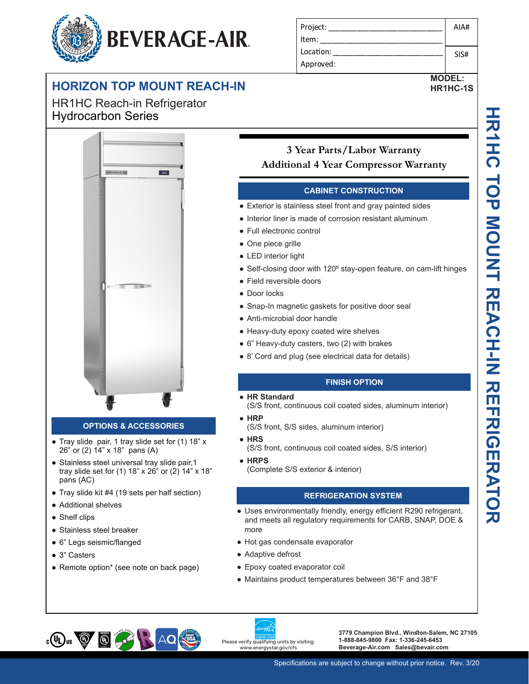# **BEVERAGE-AIR.**

## **HORIZON TOP MOUNT REACH-IN**

HR1HC Reach-in Refrigerator Hydrocarbon Series



#### **OPTIONS & ACCESSORIES**

- Tray slide pair, 1 tray slide set for (1) 18" x 26" or (2) 14" x 18" pans (A)
- Stainless steel universal tray slide pair, 1 tray slide set for (1) 18" x 26" or (2) 14" x 18" pans (AC)
- Tray slide kit #4 (19 sets per half section)
- Additional shelves
- Shelf clips
- Stainless steel breaker
- 6" Legs seismic/flanged
- 3" Casters
- Remote option\* (see note on back page)

| Project:  | AIA# |
|-----------|------|
| Item:     |      |
| Location: | SIS# |
| Approved: |      |

**MODEL: HR1HC-1S**

### **3 Year Parts/Labor Warranty Additional 4 Year Compressor Warranty**

#### **CABINET CONSTRUCTION**

- Exterior is stainless steel front and gray painted sides
- Interior liner is made of corrosion resistant aluminum
- Full electronic control
- One piece grille
- LED interior light
- Self-closing door with 120<sup>°</sup> stay-open feature, on cam-lift hinges
- Field reversible doors
- Door locks
- Snap-In magnetic gaskets for positive door seal
- Anti-microbial door handle
- Heavy-duty epoxy coated wire shelves
- 6" Heavy-duty casters, two (2) with brakes
- 8' Cord and plug (see electrical data for details)

#### **FINISH OPTION**

- **HR Standard** 
	- (S/S front, continuous coil coated sides, aluminum interior)
- **HRP**
	- (S/S front, S/S sides, aluminum interior)
- **HRS**
- (S/S front, continuous coil coated sides, S/S interior)
- **HRPS**
	- (Complete S/S exterior & interior)

#### **REFRIGERATION SYSTEM**

- Uses environmentally friendly, energy efficient R290 refrigerant, and meets all regulatory requirements for CARB, SNAP, DOE & more
- Hot gas condensate evaporator
- Adaptive defrost
- Epoxy coated evaporator coil
- Maintains product temperatures between 36°F and 38°F





**1-888-845-9800 Fax: 1-336-245-6453 Beverage-Air.com Sales@bevair.com**